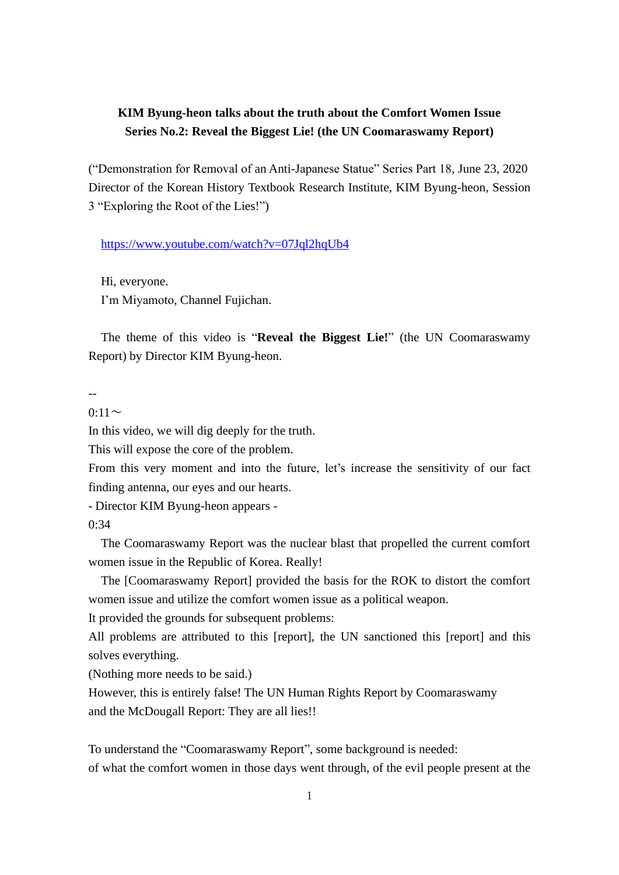## **KIM Byung-heon talks about the truth about the Comfort Women Issue Series No.2: Reveal the Biggest Lie! (the UN Coomaraswamy Report)**

("Demonstration for Removal of an Anti-Japanese Statue" Series Part 18, June 23, 2020 Director of the Korean History Textbook Research Institute, KIM Byung-heon, Session 3 "Exploring the Root of the Lies!")

<https://www.youtube.com/watch?v=07Jql2hqUb4>

Hi, everyone. I'm Miyamoto, Channel Fujichan.

The theme of this video is "**Reveal the Biggest Lie!**" (the UN Coomaraswamy Report) by Director KIM Byung-heon.

--

 $0:11\sim$ 

In this video, we will dig deeply for the truth.

This will expose the core of the problem.

From this very moment and into the future, let's increase the sensitivity of our fact finding antenna, our eyes and our hearts.

- Director KIM Byung-heon appears -

0:34

The Coomaraswamy Report was the nuclear blast that propelled the current comfort women issue in the Republic of Korea. Really!

The [Coomaraswamy Report] provided the basis for the ROK to distort the comfort women issue and utilize the comfort women issue as a political weapon.

It provided the grounds for subsequent problems:

All problems are attributed to this [report], the UN sanctioned this [report] and this solves everything.

(Nothing more needs to be said.)

However, this is entirely false! The UN Human Rights Report by Coomaraswamy and the McDougall Report: They are all lies!!

To understand the "Coomaraswamy Report", some background is needed: of what the comfort women in those days went through, of the evil people present at the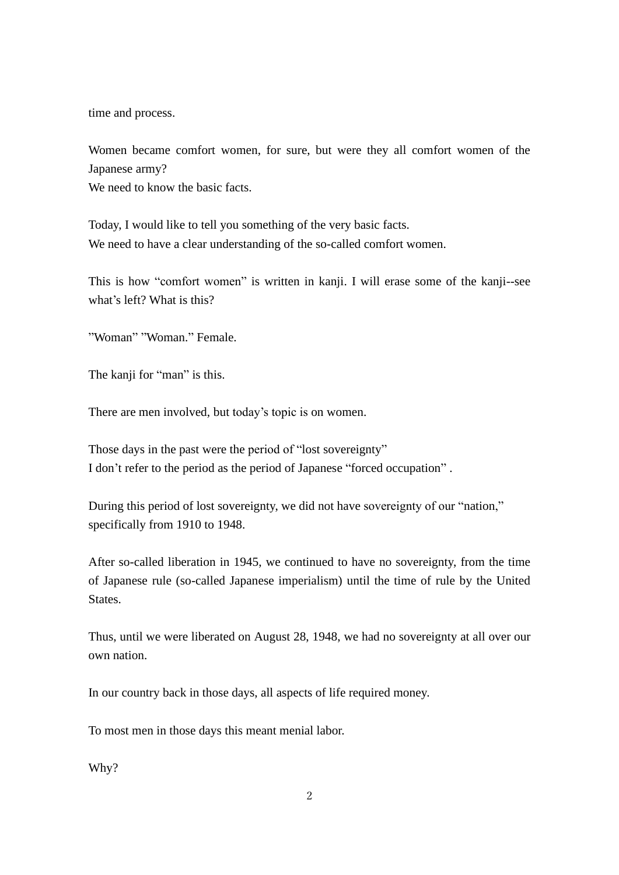time and process.

Women became comfort women, for sure, but were they all comfort women of the Japanese army?

We need to know the basic facts.

Today, I would like to tell you something of the very basic facts. We need to have a clear understanding of the so-called comfort women.

This is how "comfort women" is written in kanji. I will erase some of the kanji--see what's left? What is this?

"Woman" "Woman." Female.

The kanji for "man" is this.

There are men involved, but today's topic is on women.

Those days in the past were the period of "lost sovereignty" I don't refer to the period as the period of Japanese "forced occupation" .

During this period of lost sovereignty, we did not have sovereignty of our "nation," specifically from 1910 to 1948.

After so-called liberation in 1945, we continued to have no sovereignty, from the time of Japanese rule (so-called Japanese imperialism) until the time of rule by the United States.

Thus, until we were liberated on August 28, 1948, we had no sovereignty at all over our own nation.

In our country back in those days, all aspects of life required money.

To most men in those days this meant menial labor.

Why?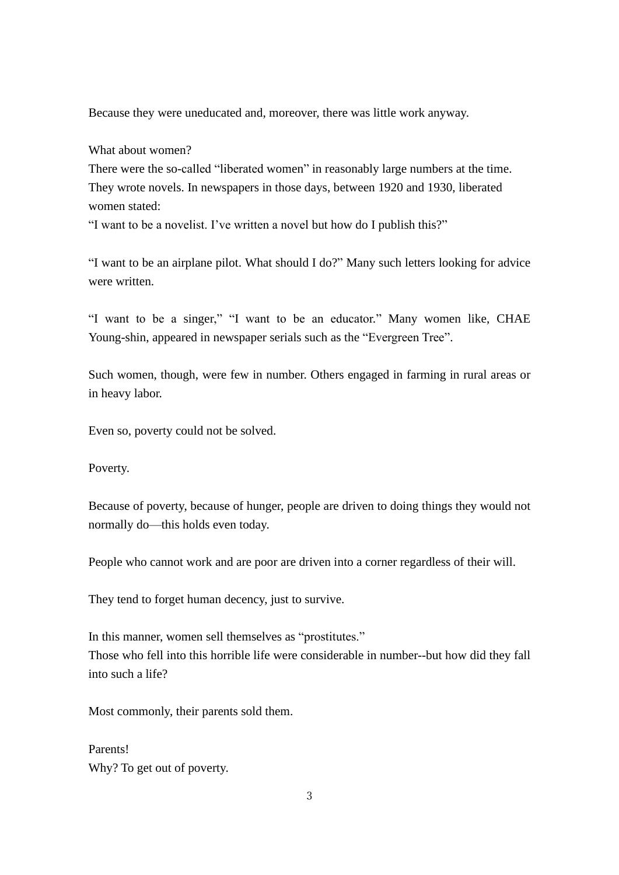Because they were uneducated and, moreover, there was little work anyway.

What about women?

There were the so-called "liberated women" in reasonably large numbers at the time. They wrote novels. In newspapers in those days, between 1920 and 1930, liberated women stated:

"I want to be a novelist. I've written a novel but how do I publish this?"

"I want to be an airplane pilot. What should I do?" Many such letters looking for advice were written.

"I want to be a singer," "I want to be an educator." Many women like, CHAE Young-shin, appeared in newspaper serials such as the "Evergreen Tree".

Such women, though, were few in number. Others engaged in farming in rural areas or in heavy labor.

Even so, poverty could not be solved.

Poverty.

Because of poverty, because of hunger, people are driven to doing things they would not normally do—this holds even today.

People who cannot work and are poor are driven into a corner regardless of their will.

They tend to forget human decency, just to survive.

In this manner, women sell themselves as "prostitutes." Those who fell into this horrible life were considerable in number--but how did they fall into such a life?

Most commonly, their parents sold them.

Parents! Why? To get out of poverty.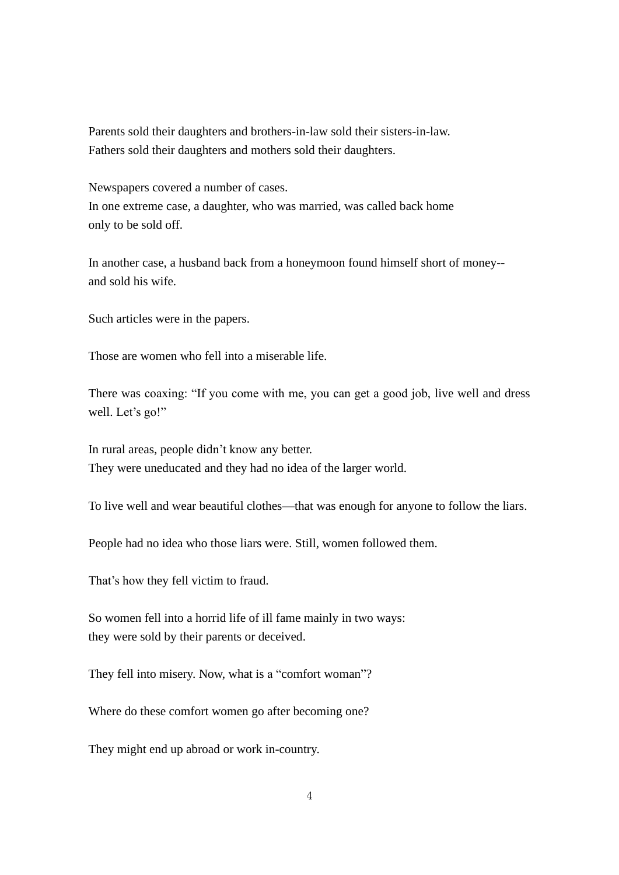Parents sold their daughters and brothers-in-law sold their sisters-in-law. Fathers sold their daughters and mothers sold their daughters.

Newspapers covered a number of cases. In one extreme case, a daughter, who was married, was called back home only to be sold off.

In another case, a husband back from a honeymoon found himself short of money- and sold his wife.

Such articles were in the papers.

Those are women who fell into a miserable life.

There was coaxing: "If you come with me, you can get a good job, live well and dress well. Let's go!"

In rural areas, people didn't know any better. They were uneducated and they had no idea of the larger world.

To live well and wear beautiful clothes—that was enough for anyone to follow the liars.

People had no idea who those liars were. Still, women followed them.

That's how they fell victim to fraud.

So women fell into a horrid life of ill fame mainly in two ways: they were sold by their parents or deceived.

They fell into misery. Now, what is a "comfort woman"?

Where do these comfort women go after becoming one?

They might end up abroad or work in-country.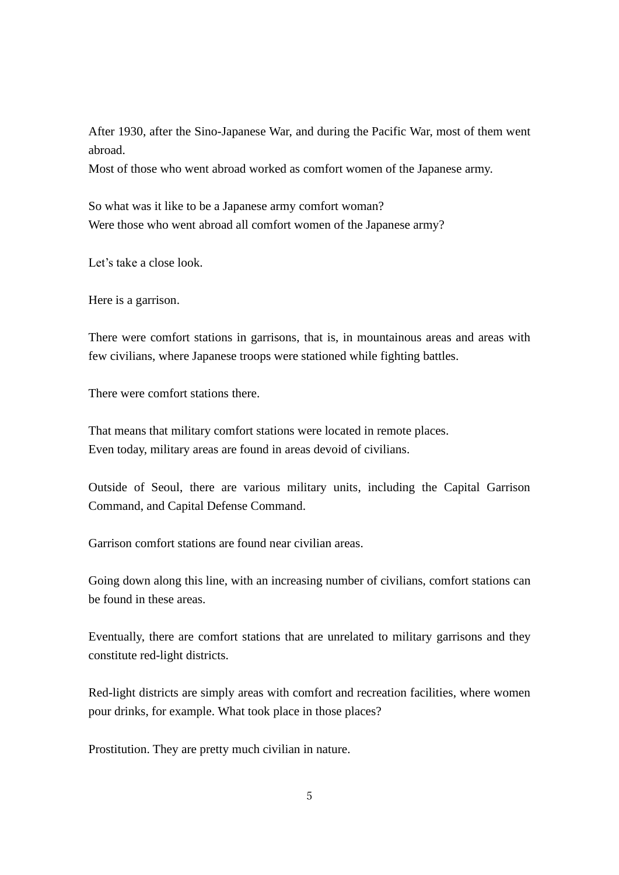After 1930, after the Sino-Japanese War, and during the Pacific War, most of them went abroad.

Most of those who went abroad worked as comfort women of the Japanese army.

So what was it like to be a Japanese army comfort woman? Were those who went abroad all comfort women of the Japanese army?

Let's take a close look.

Here is a garrison.

There were comfort stations in garrisons, that is, in mountainous areas and areas with few civilians, where Japanese troops were stationed while fighting battles.

There were comfort stations there.

That means that military comfort stations were located in remote places. Even today, military areas are found in areas devoid of civilians.

Outside of Seoul, there are various military units, including the Capital Garrison Command, and Capital Defense Command.

Garrison comfort stations are found near civilian areas.

Going down along this line, with an increasing number of civilians, comfort stations can be found in these areas.

Eventually, there are comfort stations that are unrelated to military garrisons and they constitute red-light districts.

Red-light districts are simply areas with comfort and recreation facilities, where women pour drinks, for example. What took place in those places?

Prostitution. They are pretty much civilian in nature.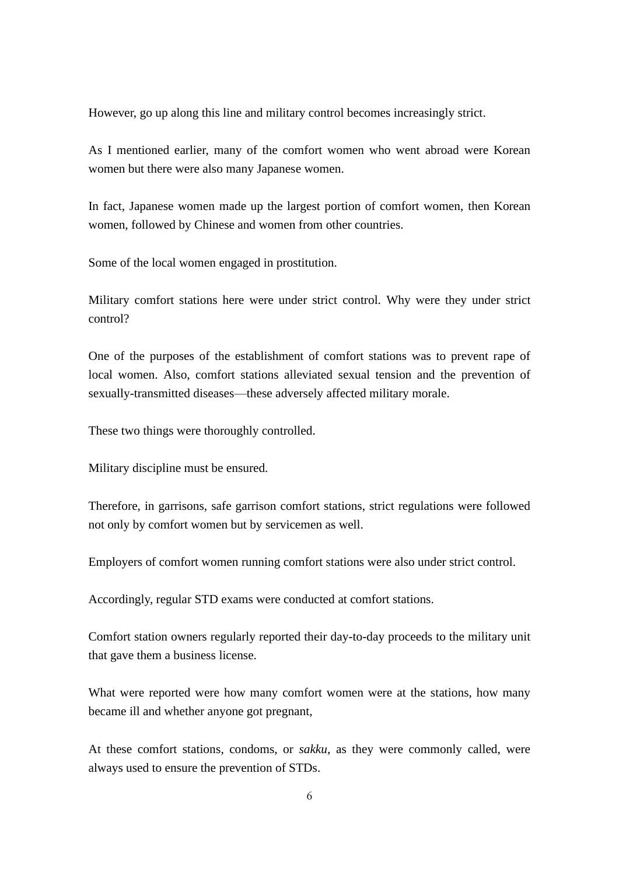However, go up along this line and military control becomes increasingly strict.

As I mentioned earlier, many of the comfort women who went abroad were Korean women but there were also many Japanese women.

In fact, Japanese women made up the largest portion of comfort women, then Korean women, followed by Chinese and women from other countries.

Some of the local women engaged in prostitution.

Military comfort stations here were under strict control. Why were they under strict control?

One of the purposes of the establishment of comfort stations was to prevent rape of local women. Also, comfort stations alleviated sexual tension and the prevention of sexually-transmitted diseases—these adversely affected military morale.

These two things were thoroughly controlled.

Military discipline must be ensured.

Therefore, in garrisons, safe garrison comfort stations, strict regulations were followed not only by comfort women but by servicemen as well.

Employers of comfort women running comfort stations were also under strict control.

Accordingly, regular STD exams were conducted at comfort stations.

Comfort station owners regularly reported their day-to-day proceeds to the military unit that gave them a business license.

What were reported were how many comfort women were at the stations, how many became ill and whether anyone got pregnant,

At these comfort stations, condoms, or *sakku*, as they were commonly called, were always used to ensure the prevention of STDs.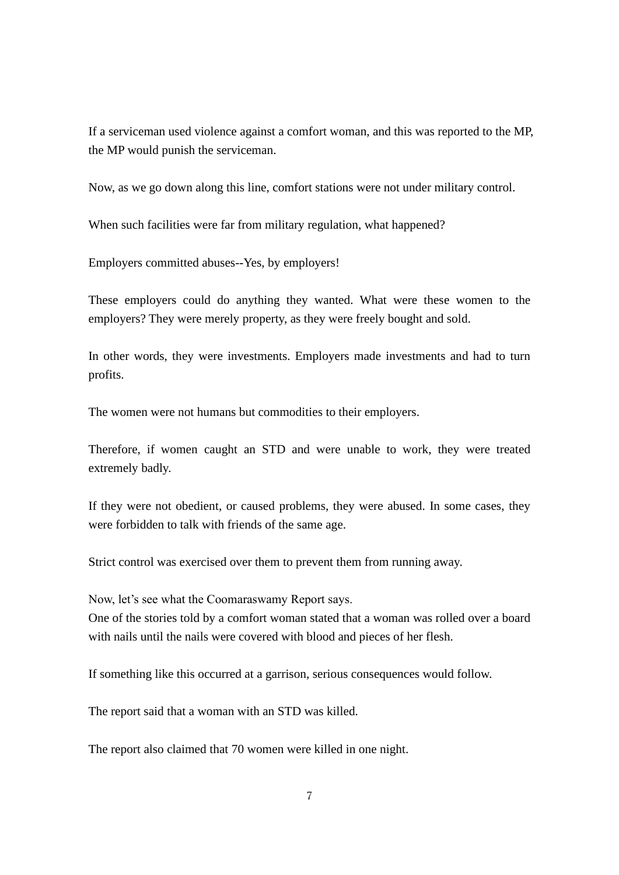If a serviceman used violence against a comfort woman, and this was reported to the MP, the MP would punish the serviceman.

Now, as we go down along this line, comfort stations were not under military control.

When such facilities were far from military regulation, what happened?

Employers committed abuses--Yes, by employers!

These employers could do anything they wanted. What were these women to the employers? They were merely property, as they were freely bought and sold.

In other words, they were investments. Employers made investments and had to turn profits.

The women were not humans but commodities to their employers.

Therefore, if women caught an STD and were unable to work, they were treated extremely badly.

If they were not obedient, or caused problems, they were abused. In some cases, they were forbidden to talk with friends of the same age.

Strict control was exercised over them to prevent them from running away.

Now, let's see what the Coomaraswamy Report says.

One of the stories told by a comfort woman stated that a woman was rolled over a board with nails until the nails were covered with blood and pieces of her flesh.

If something like this occurred at a garrison, serious consequences would follow.

The report said that a woman with an STD was killed.

The report also claimed that 70 women were killed in one night.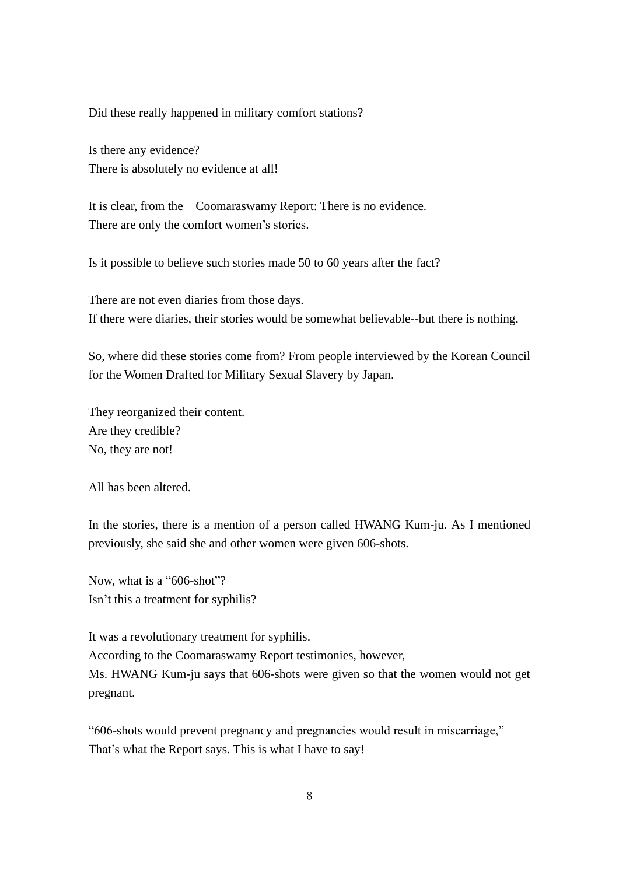## Did these really happened in military comfort stations?

Is there any evidence? There is absolutely no evidence at all!

It is clear, from the Coomaraswamy Report: There is no evidence. There are only the comfort women's stories.

Is it possible to believe such stories made 50 to 60 years after the fact?

There are not even diaries from those days. If there were diaries, their stories would be somewhat believable--but there is nothing.

So, where did these stories come from? From people interviewed by the Korean Council for the Women Drafted for Military Sexual Slavery by Japan.

They reorganized their content. Are they credible? No, they are not!

All has been altered.

In the stories, there is a mention of a person called HWANG Kum-ju. As I mentioned previously, she said she and other women were given 606-shots.

Now, what is a "606-shot"? Isn't this a treatment for syphilis?

It was a revolutionary treatment for syphilis. According to the Coomaraswamy Report testimonies, however, Ms. HWANG Kum-ju says that 606-shots were given so that the women would not get pregnant.

"606-shots would prevent pregnancy and pregnancies would result in miscarriage," That's what the Report says. This is what I have to say!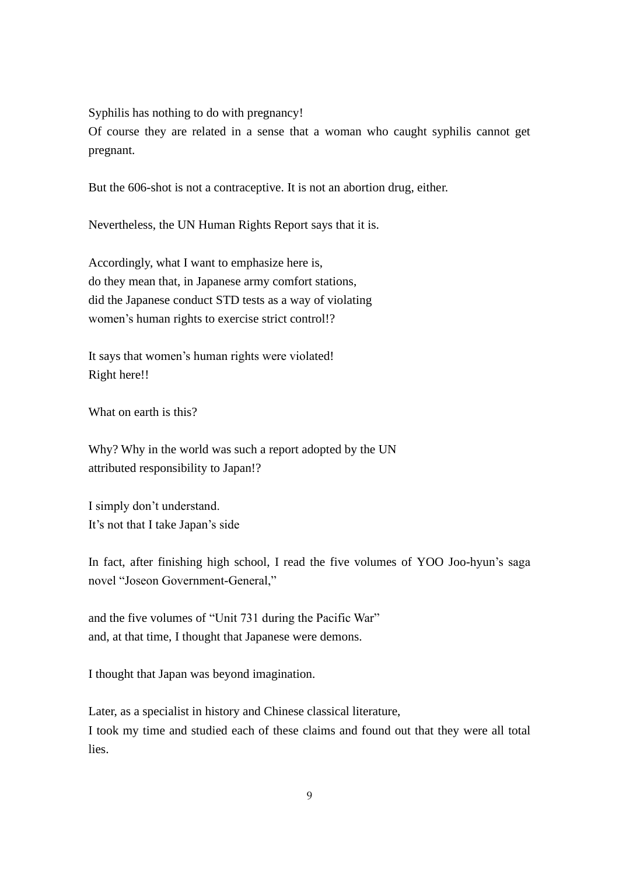Syphilis has nothing to do with pregnancy!

Of course they are related in a sense that a woman who caught syphilis cannot get pregnant.

But the 606-shot is not a contraceptive. It is not an abortion drug, either.

Nevertheless, the UN Human Rights Report says that it is.

Accordingly, what I want to emphasize here is, do they mean that, in Japanese army comfort stations, did the Japanese conduct STD tests as a way of violating women's human rights to exercise strict control!?

It says that women's human rights were violated! Right here!!

What on earth is this?

Why? Why in the world was such a report adopted by the UN attributed responsibility to Japan!?

I simply don't understand. It's not that I take Japan's side

In fact, after finishing high school, I read the five volumes of YOO Joo-hyun's saga novel "Joseon Government-General,"

and the five volumes of "Unit 731 during the Pacific War" and, at that time, I thought that Japanese were demons.

I thought that Japan was beyond imagination.

Later, as a specialist in history and Chinese classical literature, I took my time and studied each of these claims and found out that they were all total lies.